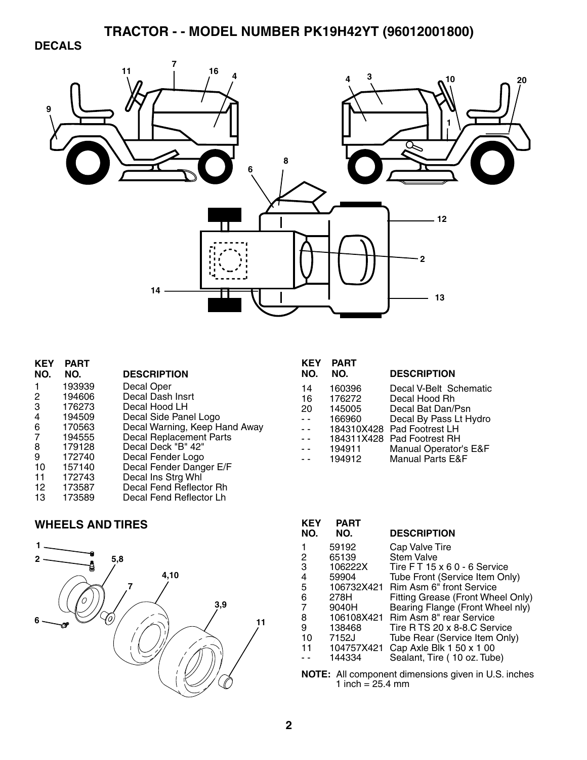### **DECALS**



| <b>PART</b><br>NO. | <b>DESCRIPTION</b>             |
|--------------------|--------------------------------|
| 193939             | Decal Oper                     |
| 194606             | Decal Dash Insrt               |
| 176273             | Decal Hood LH                  |
| 194509             | Decal Side Panel Logo          |
| 170563             | Decal Warning, Keep Hand Away  |
| 194555             | <b>Decal Replacement Parts</b> |
| 179128             | Decal Deck "B" 42"             |
| 172740             | Decal Fender Logo              |
| 157140             | Decal Fender Danger E/F        |
| 172743             | Decal Ins Strg Whl             |
| 173587             | Decal Fend Reflector Rh        |
| 173589             | Decal Fend Reflector Lh        |
|                    |                                |

### **WHEELS AND TIRES**



| KEY<br>NO. | <b>PART</b><br>NO. | <b>DESCRIPTION</b>          |
|------------|--------------------|-----------------------------|
|            |                    |                             |
| 14         | 160396             | Decal V-Belt Schematic      |
| 16         | 176272             | Decal Hood Rh               |
| 20         | 145005             | Decal Bat Dan/Psn           |
|            | 166960             | Decal By Pass Lt Hydro      |
|            |                    | 184310X428 Pad Footrest LH  |
|            |                    | 184311X428 Pad Footrest RH  |
|            | 194911             | Manual Operator's E&F       |
|            | 194912             | <b>Manual Parts E&amp;F</b> |

| <b>KEY</b><br>NO. | <b>PART</b><br>NO. | <b>DESCRIPTION</b>                |
|-------------------|--------------------|-----------------------------------|
|                   | 59192              | Cap Valve Tire                    |
| 2                 | 65139              | Stem Valve                        |
| 3                 | 106222X            | Tire FT 15 x 6 0 - 6 Service      |
| 4                 | 59904              | Tube Front (Service Item Only)    |
| 5                 | 106732X421         | Rim Asm 6" front Service          |
| 6                 | 278H               | Fitting Grease (Front Wheel Only) |
| 7                 | 9040H              | Bearing Flange (Front Wheel nly)  |
| 8                 | 106108X421         | Rim Asm 8" rear Service           |
| 9                 | 138468             | Tire R TS 20 x 8-8.C Service      |
| 10                | 7152J              | Tube Rear (Service Item Only)     |
| 11                | 104757X421         | Cap Axle Blk 1 50 x 1 00          |
|                   | 144334             | Sealant, Tire (10 oz. Tube)       |
|                   |                    |                                   |

**NOTE:** All component dimensions given in U.S. inches 1 inch = 25.4 mm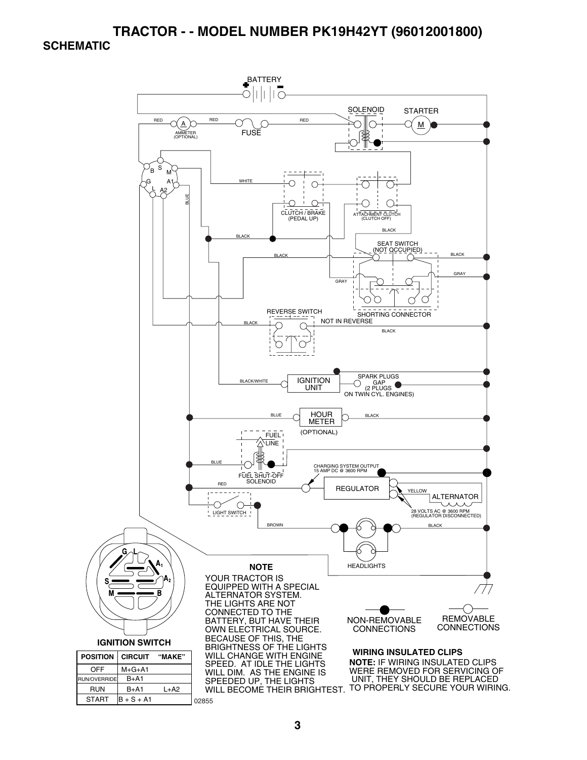

**3**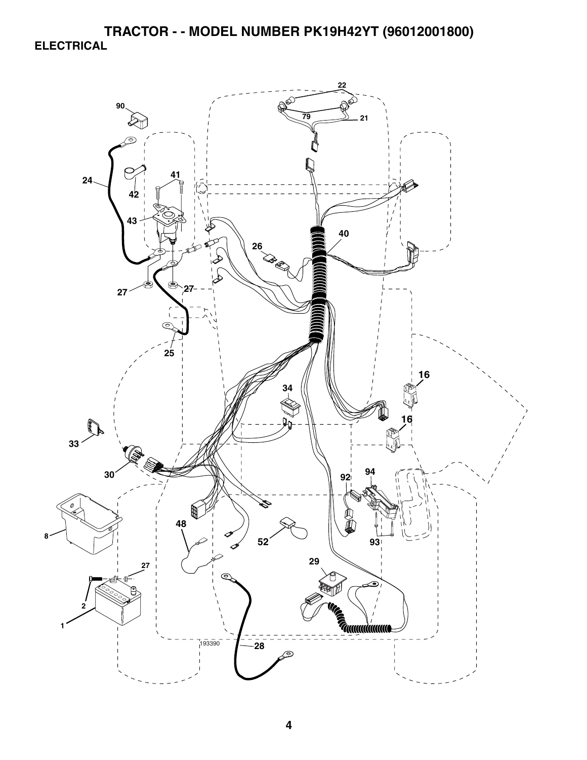**TRACTOR - - MODEL NUMBER PK19H42YT (96012001800) ELECTRICAL** 

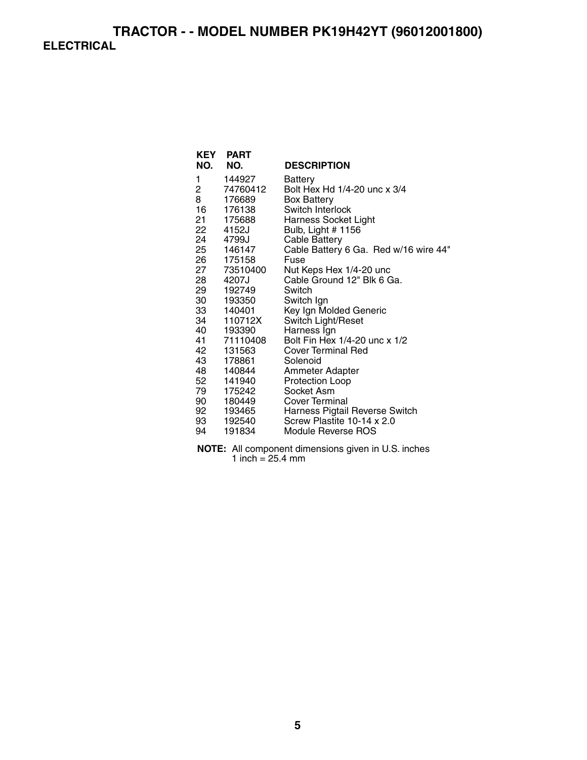### **TRACTOR - - MODEL NUMBER PK19H42YT (96012001800) ELECTRICAL**

| <b>KEY</b><br>NO. | <b>PART</b><br>NO. | <b>DESCRIPTION</b>                    |
|-------------------|--------------------|---------------------------------------|
| 1                 | 144927             | Battery                               |
| 2                 | 74760412           | Bolt Hex Hd 1/4-20 unc x 3/4          |
| 8                 | 176689             | <b>Box Battery</b>                    |
| 16                | 176138             | Switch Interlock                      |
| 21                | 175688             | <b>Harness Socket Light</b>           |
| 22 —              | 4152J              | Bulb, Light # 1156                    |
| 24                | 4799J              | <b>Cable Battery</b>                  |
| 25                | 146147             | Cable Battery 6 Ga. Red w/16 wire 44" |
| 26                | 175158             | Fuse                                  |
| 27 —              | 73510400           | Nut Keps Hex 1/4-20 unc               |
| 28                | 4207J              | Cable Ground 12" Blk 6 Ga.            |
| 29                | 192749             | Switch                                |
| 30 —              | 193350             | Switch Ign                            |
| 33                | 140401             | Key Ign Molded Generic                |
| 34                | 110712X            | Switch Light/Reset                    |
| 40                | 193390             | Harness Ign                           |
| 41                | 71110408           | Bolt Fin Hex 1/4-20 unc x 1/2         |
| 42                | 131563             | <b>Cover Terminal Red</b>             |
| 43                | 178861             | Solenoid                              |
| 48                | 140844             | Ammeter Adapter                       |
| 52                | 141940             | <b>Protection Loop</b>                |
| 79                | 175242             | Socket Asm                            |
| 90                | 180449             | <b>Cover Terminal</b>                 |
| 92                | 193465             | Harness Pigtail Reverse Switch        |
| 93 —              | 192540             | Screw Plastite 10-14 x 2.0            |
| 94                | 191834             | Module Reverse ROS                    |

**NOTE:** All component dimensions given in U.S. inches 1 inch  $= 25.4$  mm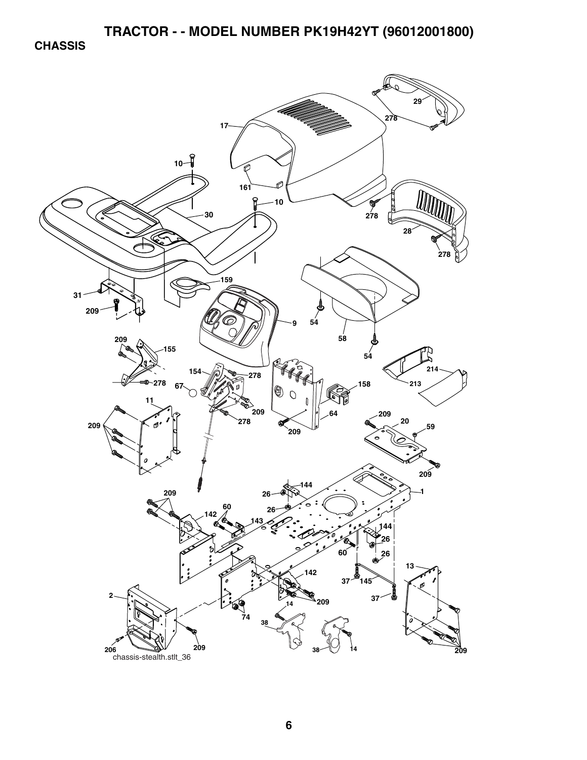**CHASSIS** 

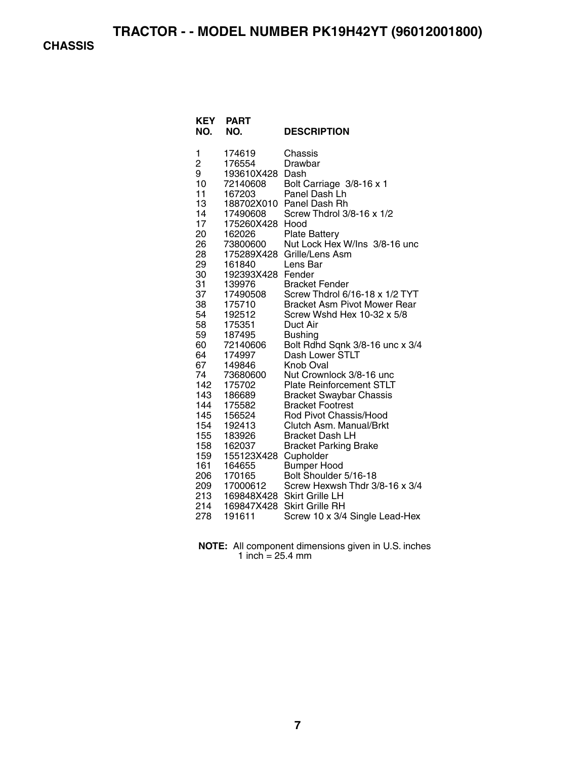**CHASSIS** 

| <b>KEY</b><br>NO. | <b>PART</b><br>NO.             | <b>DESCRIPTION</b>              |
|-------------------|--------------------------------|---------------------------------|
| 1                 | 174619                         | Chassis                         |
| $\overline{c}$    | 176554                         | Drawbar                         |
| 9                 | 193610X428                     | Dash                            |
| 10                | 72140608                       | Bolt Carriage 3/8-16 x 1        |
| 11                | 167203                         | Panel Dash Lh                   |
| 13                | 188702X010                     | Panel Dash Rh                   |
| 14                | 17490608                       | Screw Thdrol 3/8-16 x 1/2       |
| 17                | 175260X428                     | Hood                            |
| 20                | 162026                         | <b>Plate Battery</b>            |
| 26                | 73800600                       | Nut Lock Hex W/Ins 3/8-16 unc   |
| 28                | 175289X428                     | Grille/Lens Asm                 |
| 29                | 161840                         | Lens Bar                        |
| 30<br>31          | 192393X428<br>139976           | Fender<br><b>Bracket Fender</b> |
| 37                | 17490508                       | Screw Thdrol 6/16-18 x 1/2 TYT  |
| 38                | 175710                         | Bracket Asm Pivot Mower Rear    |
| 54                | 192512                         | Screw Wshd Hex 10-32 x 5/8      |
| 58                | 175351                         | Duct Air                        |
| 59                | 187495                         | <b>Bushing</b>                  |
| 60                | 72140606                       | Bolt Rdhd Sqnk 3/8-16 unc x 3/4 |
| 64                | 174997                         | Dash Lower STLT                 |
| 67                | 149846                         | Knob Oval                       |
| 74                | 73680600                       | Nut Crownlock 3/8-16 unc        |
| 142               | 175702                         | <b>Plate Reinforcement STLT</b> |
| 143               | 186689                         | <b>Bracket Swaybar Chassis</b>  |
| 144               | 175582                         | <b>Bracket Footrest</b>         |
| 145               | 156524                         | Rod Pivot Chassis/Hood          |
| 154               | 192413                         | Clutch Asm. Manual/Brkt         |
| 155               | 183926                         | <b>Bracket Dash LH</b>          |
| 158<br>159        | 162037                         | <b>Bracket Parking Brake</b>    |
| 161               | 155123X428 Cupholder<br>164655 | <b>Bumper Hood</b>              |
| 206               | 170165                         | Bolt Shoulder 5/16-18           |
| 209               | 17000612                       | Screw Hexwsh Thdr 3/8-16 x 3/4  |
| 213               | 169848X428                     | <b>Skirt Grille LH</b>          |
| 214               | 169847X428                     | <b>Skirt Grille RH</b>          |
| 278               | 191611                         | Screw 10 x 3/4 Single Lead-Hex  |

**NOTE:** All component dimensions given in U.S. inches 1 inch = 25.4 mm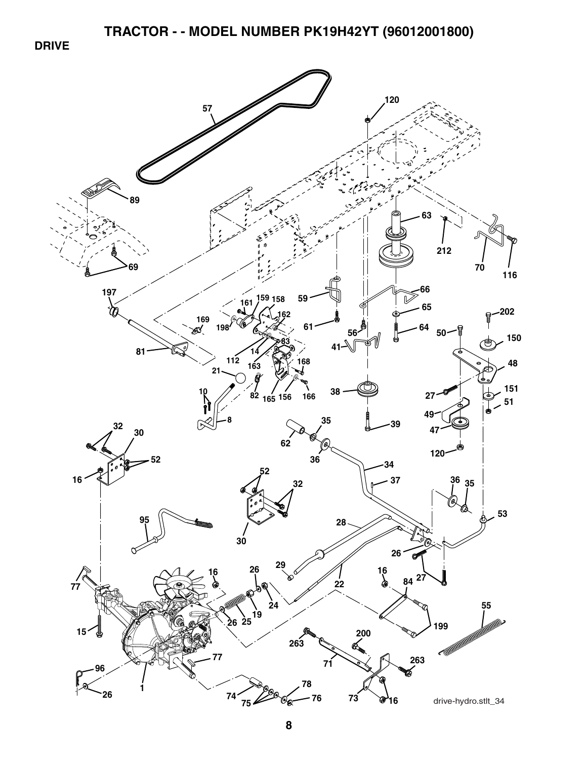**DRIVE** 

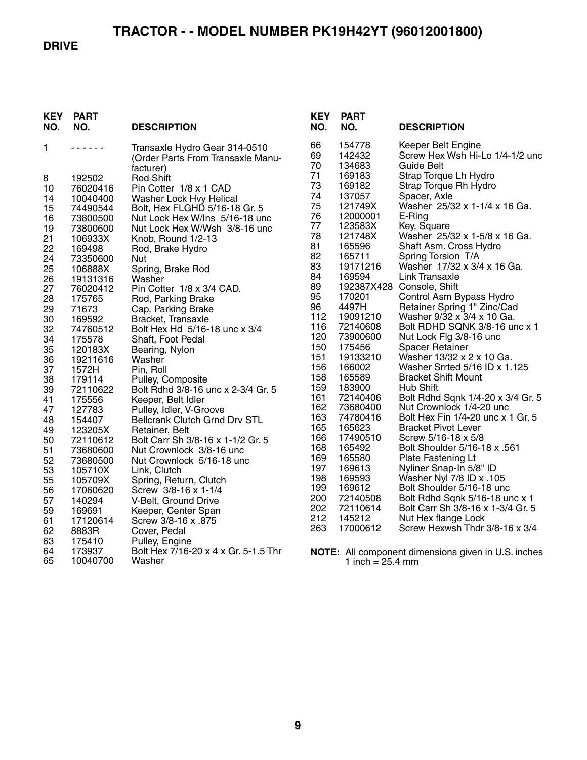#### **DRIVE**

| <b>KEY</b><br>NO. | <b>PART</b><br>NO. | <b>DESCRIPTION</b>                                                              | <b>KEY</b><br>NO. | <b>PART</b><br>NO.         | <b>DESCRIPTION</b>                                                  |
|-------------------|--------------------|---------------------------------------------------------------------------------|-------------------|----------------------------|---------------------------------------------------------------------|
| 1                 | .                  | Transaxle Hydro Gear 314-0510<br>(Order Parts From Transaxle Manu-<br>facturer) | 66<br>69<br>70    | 154778<br>142432<br>134683 | Keeper Belt Engine<br>Screw Hex Wsh Hi-Lo 1/4-1/2 unc<br>Guide Belt |
| 8                 | 192502             | <b>Rod Shift</b>                                                                | 71                | 169183                     | Strap Torque Lh Hydro                                               |
| 10                | 76020416           | Pin Cotter 1/8 x 1 CAD                                                          | 73                | 169182                     | Strap Torque Rh Hydro                                               |
| 14                | 10040400           | Washer Lock Hvy Helical                                                         | 74                | 137057                     | Spacer, Axle                                                        |
| 15                | 74490544           | Bolt, Hex FLGHD 5/16-18 Gr. 5                                                   | 75                | 121749X                    | Washer 25/32 x 1-1/4 x 16 Ga.                                       |
| 16                | 73800500           | Nut Lock Hex W/Ins 5/16-18 unc                                                  | 76                | 12000001                   | E-Ring                                                              |
| 19                | 73800600           | Nut Lock Hex W/Wsh 3/8-16 unc                                                   | 77                | 123583X                    | Key, Square                                                         |
| 21                | 106933X            | Knob, Round 1/2-13                                                              | 78                | 121748X                    | Washer 25/32 x 1-5/8 x 16 Ga.                                       |
| 22                | 169498             | Rod, Brake Hydro                                                                | 81                | 165596                     | Shaft Asm. Cross Hydro                                              |
| 24                | 73350600           | Nut                                                                             | 82                | 165711                     | Spring Torsion T/A                                                  |
| 25                | 106888X            | Spring, Brake Rod                                                               | 83                | 19171216                   | Washer 17/32 x 3/4 x 16 Ga.                                         |
| 26                | 19131316           | Washer                                                                          | 84                | 169594                     | <b>Link Transaxle</b>                                               |
| 27                | 76020412           | Pin Cotter 1/8 x 3/4 CAD.                                                       | 89                |                            | 192387X428 Console, Shift                                           |
| 28                | 175765             | Rod, Parking Brake                                                              | 95                | 170201                     | Control Asm Bypass Hydro                                            |
| 29                | 71673              | Cap, Parking Brake                                                              | 96                | 4497H                      | Retainer Spring 1" Zinc/Cad                                         |
| 30                | 169592             | Bracket, Transaxle                                                              | 112               | 19091210                   | Washer 9/32 x 3/4 x 10 Ga.                                          |
| 32                | 74760512           | Bolt Hex Hd 5/16-18 unc x 3/4                                                   | 116               | 72140608                   | Bolt RDHD SQNK 3/8-16 unc x 1                                       |
| 34                | 175578             | Shaft, Foot Pedal                                                               | 120               | 73900600                   | Nut Lock Flg 3/8-16 unc                                             |
| 35                | 120183X            | Bearing, Nylon                                                                  | 150               | 175456                     | <b>Spacer Retainer</b>                                              |
| 36                | 19211616           | Washer                                                                          | 151               | 19133210                   | Washer 13/32 x 2 x 10 Ga.                                           |
| 37                | 1572H              | Pin, Roll                                                                       | 156               | 166002                     | Washer Srrted 5/16 ID x 1.125                                       |
| 38                | 179114             | Pulley, Composite                                                               | 158<br>159        | 165589                     | <b>Bracket Shift Mount</b><br>Hub Shift                             |
| 39                | 72110622           | Bolt Rdhd 3/8-16 unc x 2-3/4 Gr. 5                                              | 161               | 183900<br>72140406         | Bolt Rdhd Sqnk 1/4-20 x 3/4 Gr. 5                                   |
| 41                | 175556             | Keeper, Belt Idler                                                              | 162               | 73680400                   | Nut Crownlock 1/4-20 unc                                            |
| 47                | 127783             | Pulley, Idler, V-Groove                                                         | 163               | 74780416                   | Bolt Hex Fin 1/4-20 unc x 1 Gr. 5                                   |
| 48                | 154407             | <b>Bellcrank Clutch Grnd Drv STL</b>                                            | 165               | 165623                     | <b>Bracket Pivot Lever</b>                                          |
| 49                | 123205X            | Retainer, Belt                                                                  | 166               | 17490510                   | Screw 5/16-18 x 5/8                                                 |
| 50                | 72110612           | Bolt Carr Sh 3/8-16 x 1-1/2 Gr. 5                                               | 168               | 165492                     | Bolt Shoulder 5/16-18 x .561                                        |
| 51                | 73680600           | Nut Crownlock 3/8-16 unc                                                        | 169               | 165580                     | Plate Fastening Lt                                                  |
| 52                | 73680500           | Nut Crownlock 5/16-18 unc                                                       | 197               | 169613                     | Nyliner Snap-In 5/8" ID                                             |
| 53                | 105710X            | Link, Clutch                                                                    | 198               | 169593                     | Washer Nyl 7/8 ID x .105                                            |
| 55<br>56          | 105709X            | Spring, Return, Clutch<br>Screw 3/8-16 x 1-1/4                                  | 199               | 169612                     | Bolt Shoulder 5/16-18 unc                                           |
| 57                | 17060620<br>140294 | V-Belt, Ground Drive                                                            | 200               | 72140508                   | Bolt Rdhd Sqnk 5/16-18 unc x 1                                      |
| 59                |                    |                                                                                 | 202               | 72110614                   | Bolt Carr Sh 3/8-16 x 1-3/4 Gr. 5                                   |
| 61                | 169691<br>17120614 | Keeper, Center Span<br>Screw 3/8-16 x .875                                      | 212               | 145212                     | Nut Hex flange Lock                                                 |
| 62                | 8883R              | Cover, Pedal                                                                    | 263               | 17000612                   | Screw Hexwsh Thdr 3/8-16 x 3/4                                      |
| 63                | 175410             | Pulley, Engine                                                                  |                   |                            |                                                                     |
| 64                | 173937             | Bolt Hex 7/16-20 x 4 x Gr. 5-1.5 Thr                                            |                   |                            |                                                                     |
| 65                | 10040700           | Washer                                                                          |                   | 1 inch = $25.4$ mm         | <b>NOTE:</b> All component dimensions given in U.S. inches          |
|                   |                    |                                                                                 |                   |                            |                                                                     |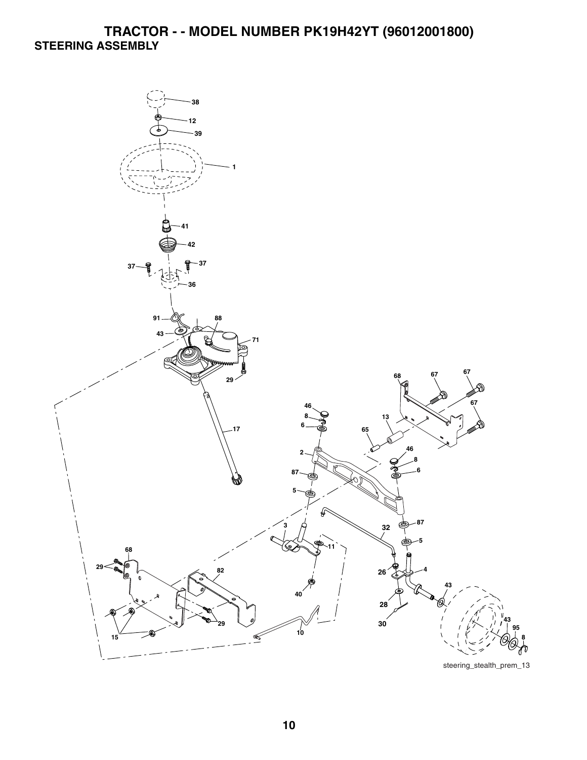## **TRACTOR - - MODEL NUMBER PK19H42YT (96012001800) STEERING ASSEMBLY**



steering\_stealth\_prem\_13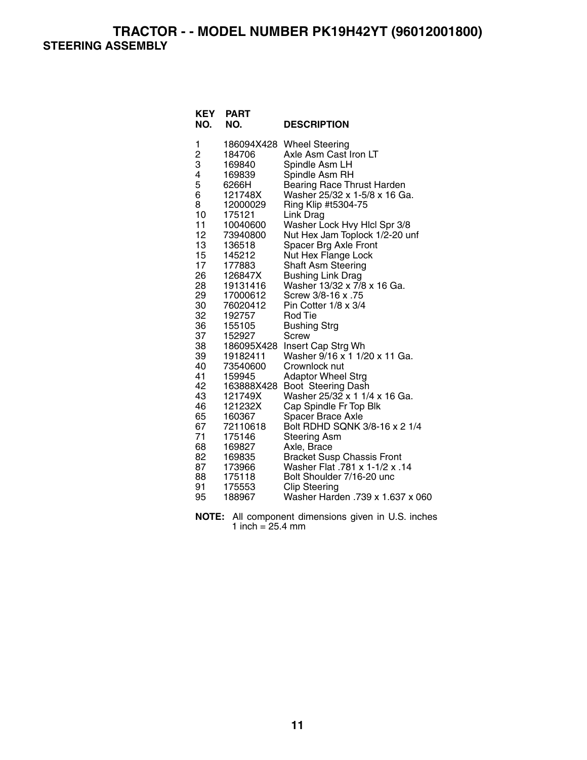**TRACTOR - - MODEL NUMBER PK19H42YT (96012001800) STEERING ASSEMBLY** 

| KEY<br>NO.                                                                                                                                                                                                                 | <b>PART</b><br>NO.                                                                                                                                                                                                                                                                                                                                                                                    | <b>DESCRIPTION</b>                                                                                                                                                                                                                                                                                                                                                                                                                                                                                                                                                                                                                                                                                                                                                                                                                                                                                                                             |
|----------------------------------------------------------------------------------------------------------------------------------------------------------------------------------------------------------------------------|-------------------------------------------------------------------------------------------------------------------------------------------------------------------------------------------------------------------------------------------------------------------------------------------------------------------------------------------------------------------------------------------------------|------------------------------------------------------------------------------------------------------------------------------------------------------------------------------------------------------------------------------------------------------------------------------------------------------------------------------------------------------------------------------------------------------------------------------------------------------------------------------------------------------------------------------------------------------------------------------------------------------------------------------------------------------------------------------------------------------------------------------------------------------------------------------------------------------------------------------------------------------------------------------------------------------------------------------------------------|
| 1<br>$\overline{c}$<br>3<br>4<br>5<br>6<br>8<br>10<br>11<br>12<br>13<br>15<br>17<br>26<br>28<br>29<br>30<br>32<br>36<br>37<br>38<br>39<br>40<br>41<br>42<br>43<br>46<br>65<br>67<br>71<br>68<br>82<br>87<br>88<br>91<br>95 | 186094X428<br>184706<br>169840<br>169839<br>6266H<br>121748X<br>12000029<br>175121<br>10040600<br>73940800<br>136518<br>145212<br>177883<br>126847X<br>19131416<br>17000612<br>76020412<br>192757<br>155105<br>152927<br>186095X428<br>19182411<br>73540600<br>159945<br>163888X428<br>121749X<br>121232X<br>160367<br>72110618<br>175146<br>169827<br>169835<br>173966<br>175118<br>175553<br>188967 | <b>Wheel Steering</b><br>Axle Asm Cast Iron LT<br>Spindle Asm LH<br>Spindle Asm RH<br><b>Bearing Race Thrust Harden</b><br>Washer 25/32 x 1-5/8 x 16 Ga.<br>Ring Klip #t5304-75<br>Link Drag<br>Washer Lock Hvy Hlcl Spr 3/8<br>Nut Hex Jam Toplock 1/2-20 unf<br>Spacer Brg Axle Front<br>Nut Hex Flange Lock<br>Shaft Asm Steering<br><b>Bushing Link Drag</b><br>Washer 13/32 x 7/8 x 16 Ga.<br>Screw 3/8-16 x .75<br>Pin Cotter 1/8 x 3/4<br>Rod Tie<br><b>Bushing Strg</b><br>Screw<br>Insert Cap Strg Wh<br>Washer 9/16 x 1 1/20 x 11 Ga.<br>Crownlock nut<br><b>Adaptor Wheel Strg</b><br>Boot Steering Dash<br>Washer 25/32 x 1 1/4 x 16 Ga.<br>Cap Spindle Fr Top Blk<br>Spacer Brace Axle<br>Bolt RDHD SQNK 3/8-16 x 2 1/4<br><b>Steering Asm</b><br>Axle, Brace<br><b>Bracket Susp Chassis Front</b><br>14. Washer Flat .781 x 1-1/2 x .14<br>Bolt Shoulder 7/16-20 unc<br><b>Clip Steering</b><br>Washer Harden .739 x 1.637 x 060 |
|                                                                                                                                                                                                                            |                                                                                                                                                                                                                                                                                                                                                                                                       |                                                                                                                                                                                                                                                                                                                                                                                                                                                                                                                                                                                                                                                                                                                                                                                                                                                                                                                                                |

**NOTE:** All component dimensions given in U.S. inches 1 inch =  $25.4 \, \text{mm}$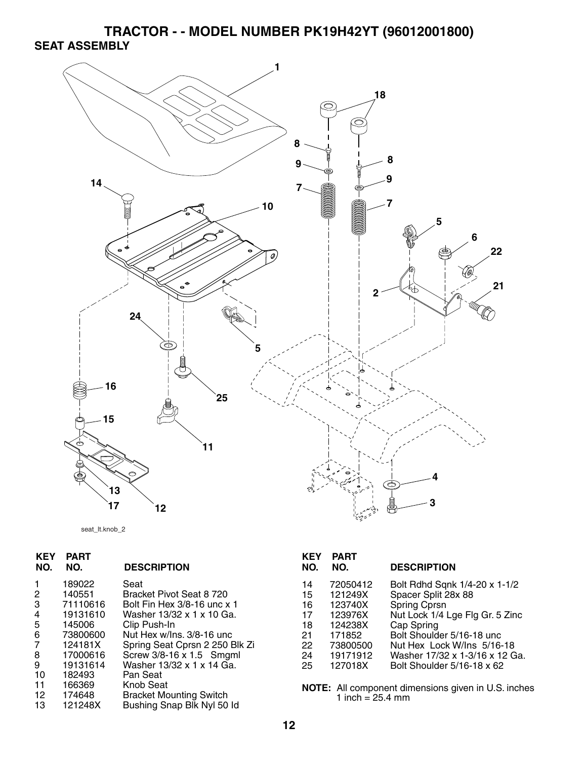**TRACTOR - - MODEL NUMBER PK19H42YT (96012001800) SEAT ASSEMBLY** 





| <b>KEY</b><br>NO. | PART<br>NO. | <b>DESCRIPTION</b>             |
|-------------------|-------------|--------------------------------|
| 1                 | 189022      | Seat                           |
| 2                 | 140551      | Bracket Pivot Seat 8 720       |
| 3                 | 71110616    | Bolt Fin Hex 3/8-16 unc x 1    |
| 4                 | 19131610    | Washer 13/32 x 1 x 10 Ga.      |
| 5                 | 145006      | Clip Push-In                   |
| 6                 | 73800600    | Nut Hex w/Ins. 3/8-16 unc      |
| 7                 | 124181X     | Spring Seat Cprsn 2 250 Blk Zi |
| 8                 | 17000616    | Screw 3/8-16 x 1.5 Smgml       |
| 9                 | 19131614    | Washer 13/32 x 1 x 14 Ga.      |
| 10                | 182493      | Pan Seat                       |
| 11                | 166369      | Knob Seat                      |
| 12                | 174648      | Bracket Mounting Switch        |
| 13                | 121248X     | Bushing Snap Blk Nyl 50 ld     |
|                   |             |                                |

| KEY<br>NO. | <b>PART</b><br>NO. | <b>DESCRIPTION</b>              |
|------------|--------------------|---------------------------------|
| 14         | 72050412           | Bolt Rdhd Sqnk 1/4-20 x 1-1/2   |
| 15         | 121249X            | Spacer Split 28x 88             |
| 16         | 123740X            | <b>Spring Cprsn</b>             |
| 17         | 123976X            | Nut Lock 1/4 Lge Flg Gr. 5 Zinc |
| 18         | 124238X            | Cap Spring                      |
| 21         | 171852             | Bolt Shoulder 5/16-18 unc.      |
| 22         | 73800500           | Nut Hex Lock W/lns 5/16-18      |
| 24         | 19171912           | Washer 17/32 x 1-3/16 x 12 Ga.  |
| 25         | 127018X            | Bolt Shoulder 5/16-18 x 62      |

**NOTE:** All component dimensions given in U.S. inches 1 inch = 25.4 mm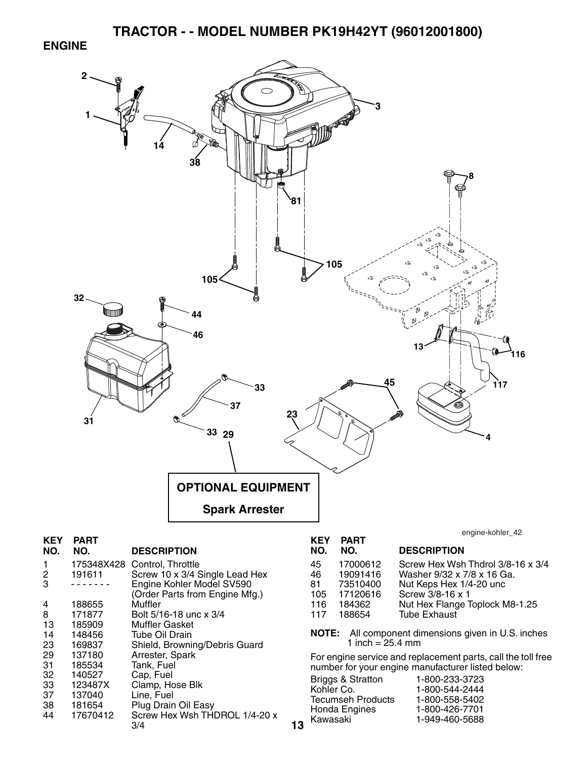#### **ENGINE**

4 188655 Muffler<br>8 171877 Bolt 5/1

8 171877 Bolt 5/16-18 unc x 3/4 13 185909 Muffler Gasket<br>14 148456 Tube Oil Drain 14 148456 Tube Oil Drain

29 137180 Arrester, Spark 31 185534 Tank, Fuel 32 140527 Cap, Fuel 33 123487X Clamp, Hose Blk 37 137040 Line, Fuel

38 181654 Plug Drain Oil Easy

3/4

23 169837 Shield, Browning/Debris Guard

Screw Hex Wsh THDROL 1/4-20 x



**13**

- 116 184362 Nut Hex Flange Toplock M8-1.25
- 117 188654 Tube Exhaust

**NOTE:** All component dimensions given in U.S. inches 1 inch =  $25.4 \, \text{mm}$ 

For engine service and replacement parts, call the toll free number for your engine manufacturer listed below:

| 1-949-460-5688<br>Kawasaki |
|----------------------------|
|----------------------------|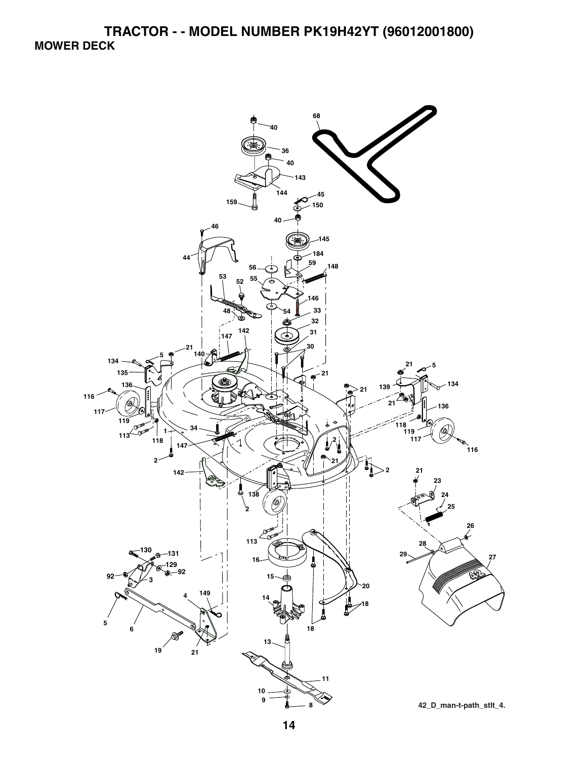![](_page_12_Figure_1.jpeg)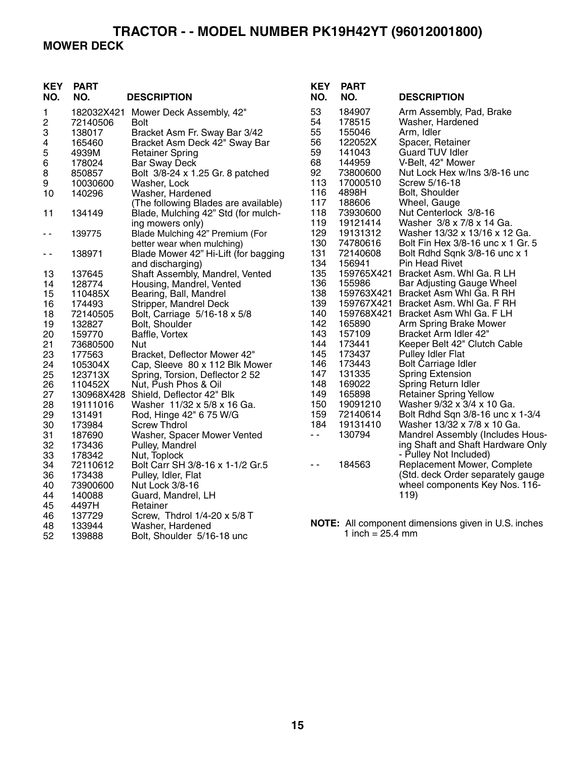### **TRACTOR - - MODEL NUMBER PK19H42YT (96012001800) MOWER DECK**

| <b>KEY</b><br>NO. | <b>PART</b><br>NO. | <b>DESCRIPTION</b>                   | <b>KEY</b><br>NO. | <b>PART</b><br>NO. | <b>DESCRIPTION</b>                                  |
|-------------------|--------------------|--------------------------------------|-------------------|--------------------|-----------------------------------------------------|
| 1                 |                    | 182032X421 Mower Deck Assembly, 42"  | 53                | 184907             | Arm Assembly, Pad, Brake                            |
| 2                 | 72140506           | <b>Bolt</b>                          | 54                | 178515             | Washer, Hardened                                    |
| 3                 | 138017             | Bracket Asm Fr. Sway Bar 3/42        | 55                | 155046             | Arm, Idler                                          |
| 4                 | 165460             | Bracket Asm Deck 42" Sway Bar        | 56                | 122052X            | Spacer, Retainer                                    |
| 5                 | 4939M              | <b>Retainer Spring</b>               | 59                | 141043             | <b>Guard TUV Idler</b>                              |
| 6                 | 178024             | <b>Bar Sway Deck</b>                 | 68                | 144959             | V-Belt, 42" Mower                                   |
| 8                 | 850857             | Bolt 3/8-24 x 1.25 Gr. 8 patched     | 92                | 73800600           | Nut Lock Hex w/Ins 3/8-16 unc                       |
| 9                 | 10030600           | Washer, Lock                         | 113               | 17000510           | Screw 5/16-18                                       |
| 10                | 140296             | Washer, Hardened                     | 116               | 4898H              | Bolt, Shoulder                                      |
|                   |                    | (The following Blades are available) | 117               | 188606             | Wheel, Gauge                                        |
| 11                | 134149             | Blade, Mulching 42" Std (for mulch-  | 118               | 73930600           | Nut Centerlock 3/8-16                               |
|                   |                    | ing mowers only)                     | 119               | 19121414           | Washer 3/8 x 7/8 x 14 Ga.                           |
| $\sim$ $-$        | 139775             | Blade Mulching 42" Premium (For      | 129               | 19131312           | Washer 13/32 x 13/16 x 12 Ga.                       |
|                   |                    | better wear when mulching)           | 130               | 74780616           | Bolt Fin Hex 3/8-16 unc x 1 Gr. 5                   |
| $\sim$ $-$        | 138971             | Blade Mower 42" Hi-Lift (for bagging | 131               | 72140608           | Bolt Rdhd Sqnk 3/8-16 unc x 1                       |
|                   |                    | and discharging)                     | 134               | 156941             | <b>Pin Head Rivet</b>                               |
| 13                | 137645             | Shaft Assembly, Mandrel, Vented      | 135               | 159765X421         | Bracket Asm. Whl Ga. R LH                           |
| 14                | 128774             | Housing, Mandrel, Vented             | 136               | 155986             | Bar Adjusting Gauge Wheel                           |
| 15                | 110485X            | Bearing, Ball, Mandrel               | 138               | 159763X421         | Bracket Asm Whl Ga. R RH                            |
| 16                | 174493             | Stripper, Mandrel Deck               | 139               |                    | 159767X421 Bracket Asm. Whi Ga. F RH                |
| 18                | 72140505           | Bolt, Carriage 5/16-18 x 5/8         | 140               | 159768X421         | Bracket Asm Whl Ga. F LH                            |
| 19                | 132827             | Bolt, Shoulder                       | 142               | 165890             | Arm Spring Brake Mower                              |
| 20                | 159770             | Baffle, Vortex                       | 143               | 157109             | Bracket Arm Idler 42"                               |
| 21                | 73680500           | Nut                                  | 144               | 173441             | Keeper Belt 42" Clutch Cable                        |
| 23                | 177563             | Bracket, Deflector Mower 42"         | 145               | 173437             | Pulley Idler Flat                                   |
| 24                | 105304X            | Cap, Sleeve 80 x 112 Blk Mower       | 146               | 173443             | <b>Bolt Carriage Idler</b>                          |
| 25                | 123713X            | Spring, Torsion, Deflector 2 52      | 147               | 131335             | <b>Spring Extension</b>                             |
| 26                | 110452X            | Nut, Push Phos & Oil                 | 148               | 169022             | Spring Return Idler                                 |
| 27                | 130968X428         | Shield, Deflector 42" Blk            | 149               | 165898             | <b>Retainer Spring Yellow</b>                       |
| 28                | 19111016           | Washer 11/32 x 5/8 x 16 Ga.          | 150               | 19091210           | Washer 9/32 x 3/4 x 10 Ga.                          |
| 29                | 131491             | Rod, Hinge 42" 6 75 W/G              | 159               | 72140614           | Bolt Rdhd Sqn 3/8-16 unc x 1-3/4                    |
| 30                | 173984             | <b>Screw Thdrol</b>                  | 184               | 19131410           | Washer 13/32 x 7/8 x 10 Ga.                         |
| 31                | 187690             | Washer, Spacer Mower Vented          | $\sim$ $-$        | 130794             | Mandrel Assembly (Includes Hous-                    |
| 32                | 173436             | Pulley, Mandrel                      |                   |                    | ing Shaft and Shaft Hardware Only                   |
| 33                | 178342             | Nut, Toplock                         |                   |                    | - Pulley Not Included)                              |
| 34                | 72110612           | Bolt Carr SH 3/8-16 x 1-1/2 Gr.5     | $\sim$ $\sim$     | 184563             | Replacement Mower, Complete                         |
| 36                | 173438             | Pulley, Idler, Flat                  |                   |                    | (Std. deck Order separately gauge                   |
| 40                | 73900600           | Nut Lock 3/8-16                      |                   |                    | wheel components Key Nos. 116-                      |
| 44                | 140088             | Guard, Mandrel, LH                   |                   |                    | 119)                                                |
| 45                | 4497H              | Retainer                             |                   |                    |                                                     |
| 46                | 137729             | Screw, Thdrol 1/4-20 x 5/8 T         |                   |                    |                                                     |
| 48                | 133944             | Washer, Hardened                     |                   |                    | NOTE: All component dimensions given in U.S. inches |
| 52                | 139888             | Bolt, Shoulder 5/16-18 unc           |                   | 1 inch = $25.4$ mm |                                                     |